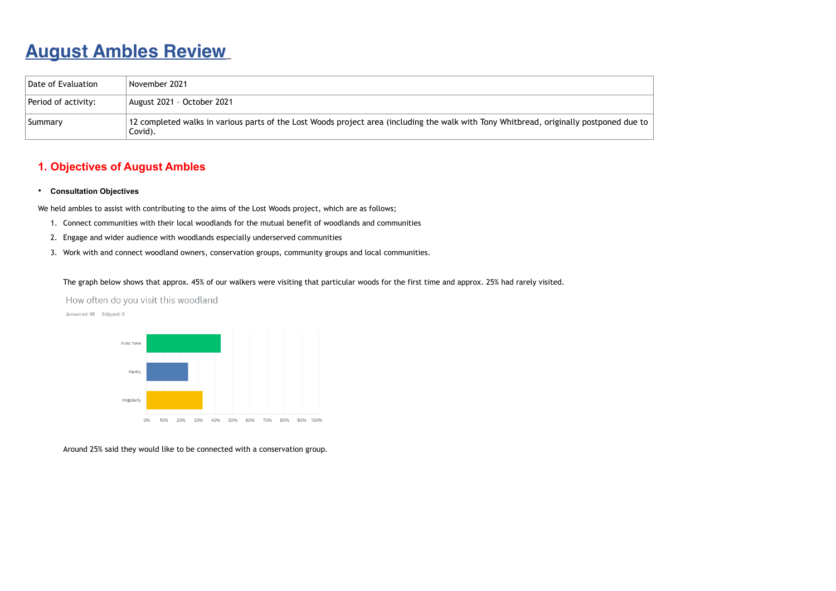# **August Ambles Review**

## **1. Objectives of August Ambles**

#### • **Consultation Objectives**

We held ambles to assist with contributing to the aims of the Lost Woods project, which are as follows;

- 1. Connect communities with their local woodlands for the mutual benefit of woodlands and communities
- 2. Engage and wider audience with woodlands especially underserved communities
- 3. Work with and connect woodland owners, conservation groups, community groups and local communities.

The graph below shows that approx. 45% of our walkers were visiting that particular woods for the first time and approx. 25% had rarely visited.

How often do you visit this woodland

Answered: 95 Skipped: 0



Around 25% said they would like to be connected with a conservation group.

| Date of Evaluation  | November 2021                                                                                                                                      |
|---------------------|----------------------------------------------------------------------------------------------------------------------------------------------------|
| Period of activity: | August 2021 - October 2021                                                                                                                         |
| Summary             | 12 completed walks in various parts of the Lost Woods project area (including the walk with Tony Whitbread, originally postponed due to<br>Covid). |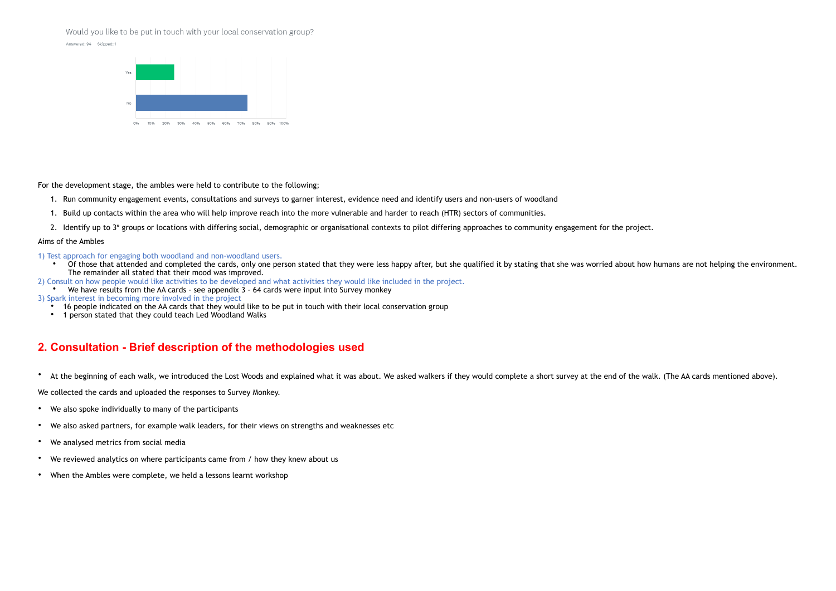#### Would you like to be put in touch with your local conservation group?





For the development stage, the ambles were held to contribute to the following;

- 1. Run community engagement events, consultations and surveys to garner interest, evidence need and identify users and non-users of woodland
- 1. Build up contacts within the area who will help improve reach into the more vulnerable and harder to reach (HTR) sectors of communities.
- 2. Identify up to 3<sup>\*</sup> groups or locations with differing social, demographic or organisational contexts to pilot differing approaches to community engagement for the project.

- 1) Test approach for engaging both woodland and non-woodland users.
	- Of those that attended and completed the cards, only one person stated that they were less happy after, but she qualified it by stating that she was worried about how humans are not helping the environment. The remainder all stated that their mood was improved.
- 2) Consult on how people would like activities to be developed and what activities they would like included in the project.
- We have results from the AA cards see appendix  $3 64$  cards were input into Survey monkey
- 3) Spark interest in becoming more involved in the project
	- 16 people indicated on the AA cards that they would like to be put in touch with their local conservation group
	- 1 person stated that they could teach Led Woodland Walks

#### Aims of the Ambles

### **2. Consultation - Brief description of the methodologies used**

• At the beginning of each walk, we introduced the Lost Woods and explained what it was about. We asked walkers if they would complete a short survey at the end of the walk. (The AA cards mentioned above).

We collected the cards and uploaded the responses to Survey Monkey.

- We also spoke individually to many of the participants
- We also asked partners, for example walk leaders, for their views on strengths and weaknesses etc
- We analysed metrics from social media
- We reviewed analytics on where participants came from / how they knew about us
- When the Ambles were complete, we held a lessons learnt workshop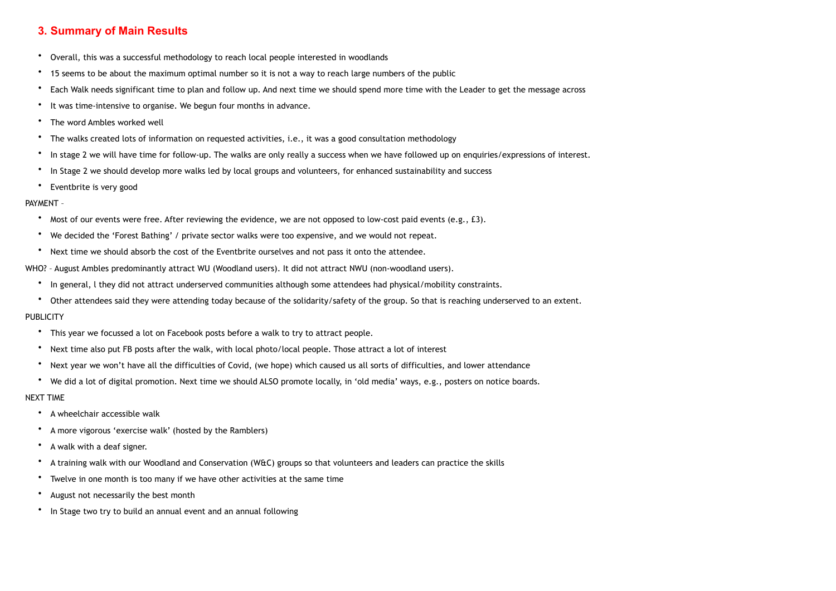## **3. Summary of Main Results**

- Overall, this was a successful methodology to reach local people interested in woodlands
- 15 seems to be about the maximum optimal number so it is not a way to reach large numbers of the public
- Each Walk needs significant time to plan and follow up. And next time we should spend more time with the Leader to get the message across
- It was time-intensive to organise. We begun four months in advance.
- The word Ambles worked well
- The walks created lots of information on requested activities, i.e., it was a good consultation methodology
- In stage 2 we will have time for follow-up. The walks are only really a success when we have followed up on enquiries/expressions of interest.
- In Stage 2 we should develop more walks led by local groups and volunteers, for enhanced sustainability and success
- Eventbrite is very good

#### PAYMENT –

- Most of our events were free. After reviewing the evidence, we are not opposed to low-cost paid events (e.g., £3).
- We decided the 'Forest Bathing' / private sector walks were too expensive, and we would not repeat.
- Next time we should absorb the cost of the Eventbrite ourselves and not pass it onto the attendee.

- This year we focussed a lot on Facebook posts before a walk to try to attract people.
- Next time also put FB posts after the walk, with local photo/local people. Those attract a lot of interest
- Next year we won't have all the difficulties of Covid, (we hope) which caused us all sorts of difficulties, and lower attendance
- We did a lot of digital promotion. Next time we should ALSO promote locally, in 'old media' ways, e.g., posters on notice boards.

WHO? – August Ambles predominantly attract WU (Woodland users). It did not attract NWU (non-woodland users).

- In general, l they did not attract underserved communities although some attendees had physical/mobility constraints.
- Other attendees said they were attending today because of the solidarity/safety of the group. So that is reaching underserved to an extent.

#### **PUBLICITY**

#### NEXT TIME

- A wheelchair accessible walk
- A more vigorous 'exercise walk' (hosted by the Ramblers)
- A walk with a deaf signer.
- A training walk with our Woodland and Conservation (W&C) groups so that volunteers and leaders can practice the skills
- Twelve in one month is too many if we have other activities at the same time
- August not necessarily the best month
- In Stage two try to build an annual event and an annual following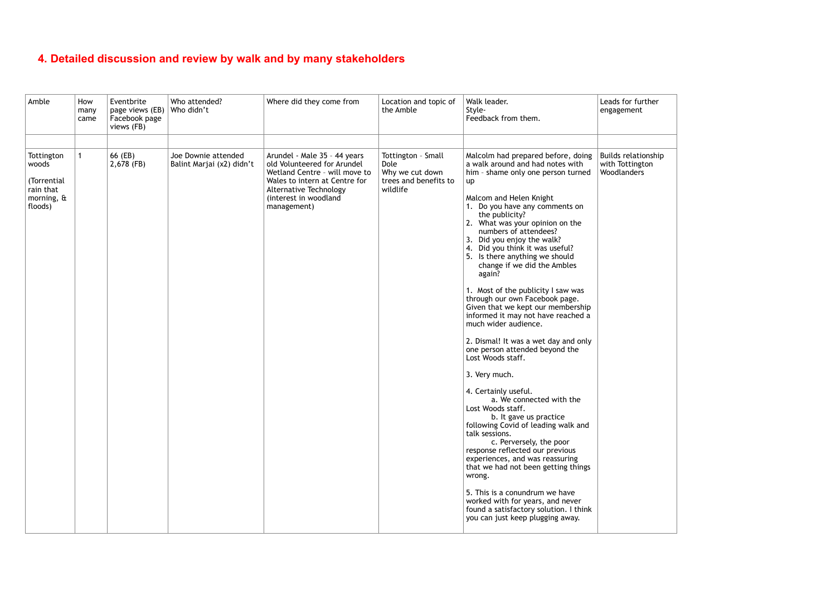# **4. Detailed discussion and review by walk and by many stakeholders**

| Leads for further<br>engagement                       |  |
|-------------------------------------------------------|--|
|                                                       |  |
| Builds relationship<br>with Tottington<br>Woodlanders |  |
|                                                       |  |
|                                                       |  |
|                                                       |  |
|                                                       |  |
|                                                       |  |
|                                                       |  |
|                                                       |  |
|                                                       |  |
|                                                       |  |
|                                                       |  |
|                                                       |  |

| Amble                                                                           | How<br>many<br>came | Eventbrite<br>page views (EB)<br>Facebook page<br>views (FB) | Who attended?<br>Who didn't                      | Where did they come from                                                                                                                                                                        | Location and topic of<br>the Amble                                                 | Walk leader.<br>Style-<br>Feedback from them.                                                                                                                                                                                                                                                                                                                                                                                                                                                                                                                                                                                                                                                                                                                                                                                                                                                                                                                                                                                                                                                                                                                          | Leads for further<br>engagement                       |
|---------------------------------------------------------------------------------|---------------------|--------------------------------------------------------------|--------------------------------------------------|-------------------------------------------------------------------------------------------------------------------------------------------------------------------------------------------------|------------------------------------------------------------------------------------|------------------------------------------------------------------------------------------------------------------------------------------------------------------------------------------------------------------------------------------------------------------------------------------------------------------------------------------------------------------------------------------------------------------------------------------------------------------------------------------------------------------------------------------------------------------------------------------------------------------------------------------------------------------------------------------------------------------------------------------------------------------------------------------------------------------------------------------------------------------------------------------------------------------------------------------------------------------------------------------------------------------------------------------------------------------------------------------------------------------------------------------------------------------------|-------------------------------------------------------|
| Tottington<br>woods<br>(Torrential<br>rain that<br>morning, $\theta$<br>floods) | $\mathbf{1}$        | 66 (EB)<br>2,678 (FB)                                        | Joe Downie attended<br>Balint Marjai (x2) didn't | Arundel - Male 35 - 44 years<br>old Volunteered for Arundel<br>Wetland Centre - will move to<br>Wales to intern at Centre for<br>Alternative Technology<br>(interest in woodland<br>management) | Tottington - Small<br>Dole<br>Why we cut down<br>trees and benefits to<br>wildlife | Malcolm had prepared before, doing<br>a walk around and had notes with<br>him - shame only one person turned<br>up<br>Malcom and Helen Knight<br>1. Do you have any comments on<br>the publicity?<br>2. What was your opinion on the<br>numbers of attendees?<br>3. Did you enjoy the walk?<br>4. Did you think it was useful?<br>5. Is there anything we should<br>change if we did the Ambles<br>again?<br>1. Most of the publicity I saw was<br>through our own Facebook page.<br>Given that we kept our membership<br>informed it may not have reached a<br>much wider audience.<br>2. Dismal! It was a wet day and only<br>one person attended beyond the<br>Lost Woods staff.<br>3. Very much.<br>4. Certainly useful.<br>a. We connected with the<br>Lost Woods staff.<br>b. It gave us practice<br>following Covid of leading walk and<br>talk sessions.<br>c. Perversely, the poor<br>response reflected our previous<br>experiences, and was reassuring<br>that we had not been getting things<br>wrong.<br>5. This is a conundrum we have<br>worked with for years, and never<br>found a satisfactory solution. I think<br>you can just keep plugging away. | Builds relationship<br>with Tottington<br>Woodlanders |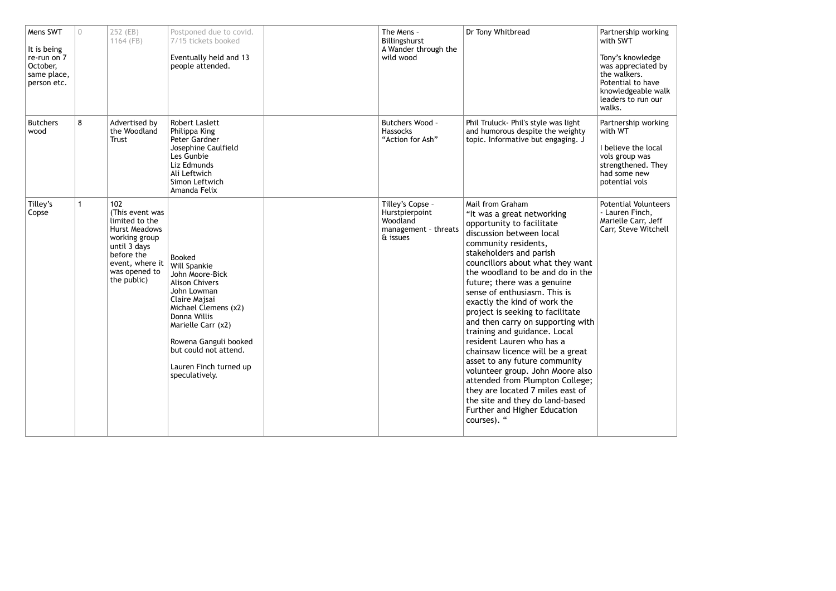| Mens SWT<br>It is being<br>re-run on 7<br>October,<br>same place,<br>person etc. | $\overline{0}$ | 252 (EB)<br>1164 (FB)                                                                                                                                              | Postponed due to covid.<br>7/15 tickets booked<br>Eventually held and 13<br>people attended.                                                                                                                                                                   | The Mens -<br>Billingshurst<br>A Wander through the<br>wild wood                   | Dr Tony Whitbread                                                                                                                                                                                                                                                                                                                                                                                                                                                                                                                                                                                                                                                                                                                         | Partnership working<br>with SWT<br>Tony's knowledge<br>was appreciated by<br>the walkers.<br>Potential to have<br>knowledgeable walk<br>leaders to run our<br>walks. |
|----------------------------------------------------------------------------------|----------------|--------------------------------------------------------------------------------------------------------------------------------------------------------------------|----------------------------------------------------------------------------------------------------------------------------------------------------------------------------------------------------------------------------------------------------------------|------------------------------------------------------------------------------------|-------------------------------------------------------------------------------------------------------------------------------------------------------------------------------------------------------------------------------------------------------------------------------------------------------------------------------------------------------------------------------------------------------------------------------------------------------------------------------------------------------------------------------------------------------------------------------------------------------------------------------------------------------------------------------------------------------------------------------------------|----------------------------------------------------------------------------------------------------------------------------------------------------------------------|
| <b>Butchers</b><br>wood                                                          | 8              | Advertised by<br>the Woodland<br><b>Trust</b>                                                                                                                      | <b>Robert Laslett</b><br>Philippa King<br>Peter Gardner<br>Josephine Caulfield<br>Les Gunbie<br>Liz Edmunds<br>Ali Leftwich<br>Simon Leftwich<br>Amanda Felix                                                                                                  | Butchers Wood -<br><b>Hassocks</b><br>"Action for Ash"                             | Phil Truluck- Phil's style was light<br>and humorous despite the weighty<br>topic. Informative but engaging. J                                                                                                                                                                                                                                                                                                                                                                                                                                                                                                                                                                                                                            | Partnership working<br>with WT<br>I believe the local<br>vols group was<br>strengthened. They<br>had some new<br>potential vols                                      |
| Tilley's<br>Copse                                                                | $\mathbf{1}$   | 102<br>(This event was<br>limited to the<br><b>Hurst Meadows</b><br>working group<br>until 3 days<br>before the<br>event, where it<br>was opened to<br>the public) | Booked<br>Will Spankie<br>John Moore-Bick<br><b>Alison Chivers</b><br>John Lowman<br>Claire Majsai<br>Michael Clemens (x2)<br>Donna Willis<br>Marielle Carr (x2)<br>Rowena Ganguli booked<br>but could not attend.<br>Lauren Finch turned up<br>speculatively. | Tilley's Copse -<br>Hurstpierpoint<br>Woodland<br>management - threats<br>& issues | Mail from Graham<br>"It was a great networking<br>opportunity to facilitate<br>discussion between local<br>community residents,<br>stakeholders and parish<br>councillors about what they want<br>the woodland to be and do in the<br>future; there was a genuine<br>sense of enthusiasm. This is<br>exactly the kind of work the<br>project is seeking to facilitate<br>and then carry on supporting with<br>training and guidance. Local<br>resident Lauren who has a<br>chainsaw licence will be a great<br>asset to any future community<br>volunteer group. John Moore also<br>attended from Plumpton College;<br>they are located 7 miles east of<br>the site and they do land-based<br>Further and Higher Education<br>courses). " | <b>Potential Volunteers</b><br>- Lauren Finch,<br>Marielle Carr, Jeff<br>Carr, Steve Witchell                                                                        |

| Partnership working<br>with SWT                                                                                                   |  |
|-----------------------------------------------------------------------------------------------------------------------------------|--|
| Tony's knowledge<br>was appreciated by<br>the walkers.<br>Potential to have<br>knowledgeable walk<br>leaders to run our<br>walks. |  |
| Partnership working<br>with WT                                                                                                    |  |
| I believe the local<br>vols group was<br>strengthened. They<br>had some new<br>potential vols                                     |  |
| <b>Potential Volunteers</b><br>- Lauren Finch,<br>Marielle Carr, Jeff<br>Carr, Steve Witchell                                     |  |
|                                                                                                                                   |  |
|                                                                                                                                   |  |
|                                                                                                                                   |  |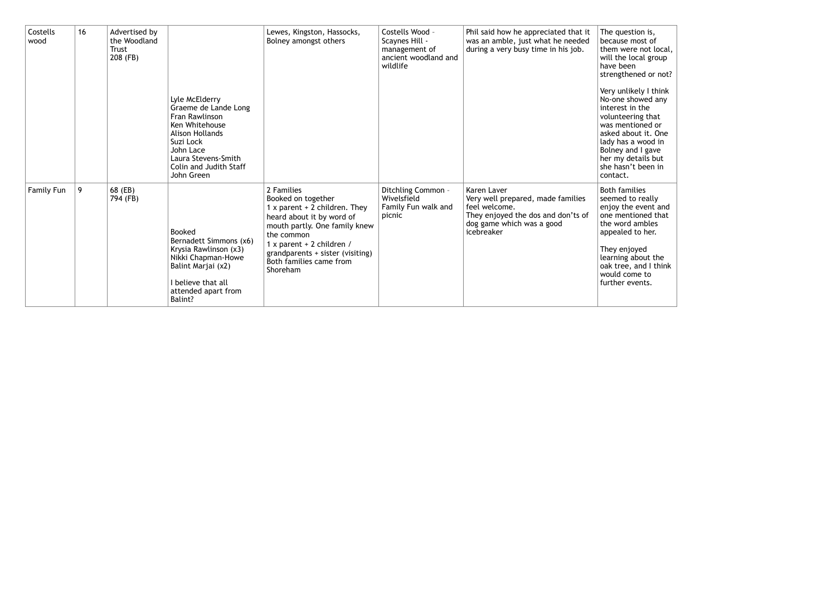| Costells<br>wood | 16 | Advertised by<br>the Woodland<br>Trust<br>208 (FB) |                                                                                                                                                                                               | Lewes, Kingston, Hassocks,<br>Bolney amongst others                                                                                                                                                                                                     | Costells Wood -<br>Scaynes Hill -<br>management of<br>ancient woodland and<br>wildlife | Phil said how he appreciated that it<br>was an amble, just what he needed<br>during a very busy time in his job.                                   | The question is,<br>because most of<br>them were not local,<br>will the local group<br>have been<br>strengthened or not?                                                                                                         |
|------------------|----|----------------------------------------------------|-----------------------------------------------------------------------------------------------------------------------------------------------------------------------------------------------|---------------------------------------------------------------------------------------------------------------------------------------------------------------------------------------------------------------------------------------------------------|----------------------------------------------------------------------------------------|----------------------------------------------------------------------------------------------------------------------------------------------------|----------------------------------------------------------------------------------------------------------------------------------------------------------------------------------------------------------------------------------|
|                  |    |                                                    | Lyle McElderry<br>Graeme de Lande Long<br>Fran Rawlinson<br>Ken Whitehouse<br><b>Alison Hollands</b><br>Suzi Lock<br>John Lace<br>Laura Stevens-Smith<br>Colin and Judith Staff<br>John Green |                                                                                                                                                                                                                                                         |                                                                                        |                                                                                                                                                    | Very unlikely I think<br>No-one showed any<br>interest in the<br>volunteering that<br>was mentioned or<br>asked about it. One<br>lady has a wood in<br>Bolney and I gave<br>her my details but<br>she hasn't been in<br>contact. |
| Family Fun       | 9  | 68 (EB)<br>794 (FB)                                | Booked<br>Bernadett Simmons (x6)<br>Krysia Rawlinson (x3)<br>Nikki Chapman-Howe<br>Balint Marjai (x2)<br>I believe that all<br>attended apart from<br>Balint?                                 | 2 Families<br>Booked on together<br>1 x parent $+$ 2 children. They<br>heard about it by word of<br>mouth partly. One family knew<br>the common<br>1 x parent + 2 children /<br>grandparents + sister (visiting)<br>Both families came from<br>Shoreham | Ditchling Common -<br>Wivelsfield<br>Family Fun walk and<br>picnic                     | Karen Laver<br>Very well prepared, made families<br>feel welcome.<br>They enjoyed the dos and don'ts of<br>dog game which was a good<br>icebreaker | <b>Both families</b><br>seemed to really<br>enjoy the event and<br>one mentioned that<br>the word ambles<br>appealed to her.<br>They enjoyed<br>learning about the<br>oak tree, and I think<br>would come to<br>further events.  |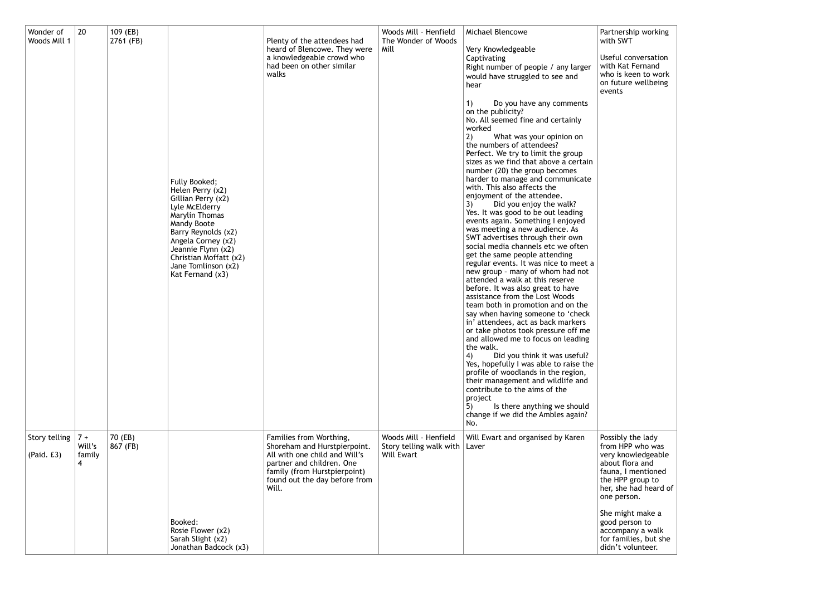| Wonder of<br>Woods Mill 1   | 20                             | 109 (EB)<br>2761 (FB) | Fully Booked;<br>Helen Perry (x2)<br>Gillian Perry (x2)<br>Lyle McElderry<br>Marylin Thomas<br>Mandy Boote<br>Barry Reynolds (x2)<br>Angela Corney (x2)<br>Jeannie Flynn (x2)<br>Christian Moffatt (x2)<br>Jane Tomlinson (x2)<br>Kat Fernand (x3) | Plenty of the attendees had<br>heard of Blencowe. They were<br>a knowledgeable crowd who<br>had been on other similar<br>walks                                                                  | Woods Mill - Henfield<br>The Wonder of Woods<br>Mill                   | Michael Blencowe<br>Very Knowledgeable<br>Captivating<br>Right number of people / any larger<br>would have struggled to see and<br>hear<br>Do you have any comments<br>1)<br>on the publicity?<br>No. All seemed fine and certainly<br>worked<br>What was your opinion on<br>the numbers of attendees?<br>Perfect. We try to limit the group<br>sizes as we find that above a certain<br>number (20) the group becomes<br>harder to manage and communicate<br>with. This also affects the<br>enjoyment of the attendee.<br>Did you enjoy the walk?<br>3)<br>Yes. It was good to be out leading<br>events again. Something I enjoyed<br>was meeting a new audience. As<br>SWT advertises through their own<br>social media channels etc we often<br>get the same people attending<br>regular events. It was nice to meet a<br>new group - many of whom had not<br>attended a walk at this reserve<br>before. It was also great to have<br>assistance from the Lost Woods<br>team both in promotion and on the<br>say when having someone to 'check<br>in' attendees, act as back markers<br>or take photos took pressure off me<br>and allowed me to focus on leading<br>the walk.<br>Did you think it was useful?<br>4)<br>Yes, hopefully I was able to raise the<br>profile of woodlands in the region,<br>their management and wildlife and<br>contribute to the aims of the<br>project<br>Is there anything we should<br>change if we did the Ambles again?<br>No. | Partnership wor<br>with SWT<br>Useful conversa<br>with Kat Fernan<br>who is keen to v<br>on future wellbe<br>events                                                                                                                               |
|-----------------------------|--------------------------------|-----------------------|----------------------------------------------------------------------------------------------------------------------------------------------------------------------------------------------------------------------------------------------------|-------------------------------------------------------------------------------------------------------------------------------------------------------------------------------------------------|------------------------------------------------------------------------|-----------------------------------------------------------------------------------------------------------------------------------------------------------------------------------------------------------------------------------------------------------------------------------------------------------------------------------------------------------------------------------------------------------------------------------------------------------------------------------------------------------------------------------------------------------------------------------------------------------------------------------------------------------------------------------------------------------------------------------------------------------------------------------------------------------------------------------------------------------------------------------------------------------------------------------------------------------------------------------------------------------------------------------------------------------------------------------------------------------------------------------------------------------------------------------------------------------------------------------------------------------------------------------------------------------------------------------------------------------------------------------------------------------------------------------------------------------------------|---------------------------------------------------------------------------------------------------------------------------------------------------------------------------------------------------------------------------------------------------|
| Story telling<br>(Paid. £3) | $7 +$<br>Will's<br>family<br>4 | 70 (EB)<br>867 (FB)   | Booked:<br>Rosie Flower (x2)<br>Sarah Slight (x2)<br>Jonathan Badcock (x3)                                                                                                                                                                         | Families from Worthing,<br>Shoreham and Hurstpierpoint.<br>All with one child and Will's<br>partner and children. One<br>family (from Hurstpierpoint)<br>found out the day before from<br>Will. | Woods Mill - Henfield<br>Story telling walk with   Laver<br>Will Ewart | Will Ewart and organised by Karen                                                                                                                                                                                                                                                                                                                                                                                                                                                                                                                                                                                                                                                                                                                                                                                                                                                                                                                                                                                                                                                                                                                                                                                                                                                                                                                                                                                                                                     | Possibly the lady<br>from HPP who w<br>very knowledge<br>about flora and<br>fauna, I mention<br>the HPP group t<br>her, she had hea<br>one person.<br>She might make<br>good person to<br>accompany a wa<br>for families, but<br>didn't volunteer |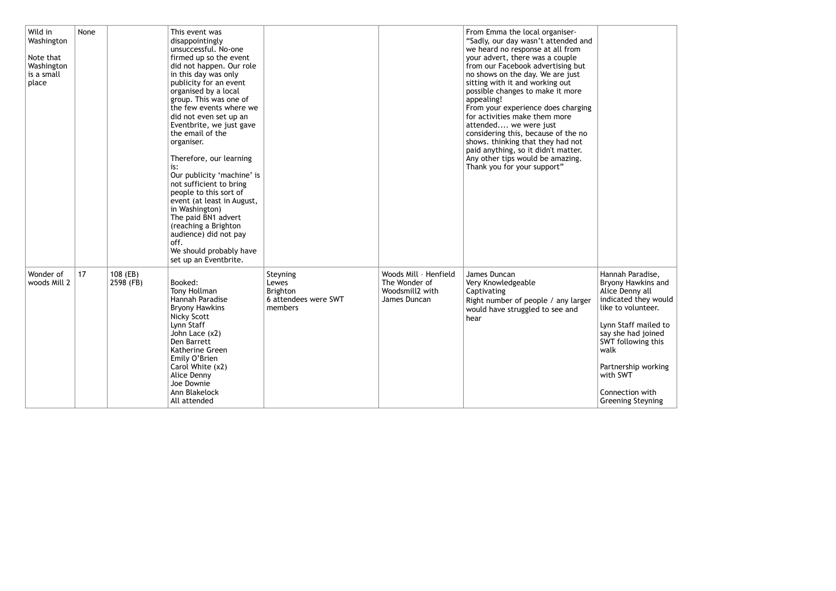| Wild in<br>Washington<br>Note that<br>Washington<br>is a small<br>place | None |                       | This event was<br>disappointingly<br>unsuccessful. No-one<br>firmed up so the event<br>did not happen. Our role<br>in this day was only<br>publicity for an event<br>organised by a local<br>group. This was one of<br>the few events where we<br>did not even set up an<br>Eventbrite, we just gave<br>the email of the<br>organiser.<br>Therefore, our learning<br>is:<br>Our publicity 'machine' is<br>not sufficient to bring<br>people to this sort of<br>event (at least in August,<br>in Washington)<br>The paid BN1 advert<br>(reaching a Brighton<br>audience) did not pay<br>off.<br>We should probably have<br>set up an Eventbrite. |                                                                         |                                                                           | From Emma the local organiser-<br>"Sadly, our day wasn't attended and<br>we heard no response at all from<br>your advert, there was a couple<br>from our Facebook advertising but<br>no shows on the day. We are just<br>sitting with it and working out<br>possible changes to make it more<br>appealing!<br>From your experience does charging<br>for activities make them more<br>attended we were just<br>considering this, because of the no<br>shows. thinking that they had not<br>paid anything, so it didn't matter.<br>Any other tips would be amazing.<br>Thank you for your support" |                                                                                                                                                                                                                                                 |
|-------------------------------------------------------------------------|------|-----------------------|-------------------------------------------------------------------------------------------------------------------------------------------------------------------------------------------------------------------------------------------------------------------------------------------------------------------------------------------------------------------------------------------------------------------------------------------------------------------------------------------------------------------------------------------------------------------------------------------------------------------------------------------------|-------------------------------------------------------------------------|---------------------------------------------------------------------------|--------------------------------------------------------------------------------------------------------------------------------------------------------------------------------------------------------------------------------------------------------------------------------------------------------------------------------------------------------------------------------------------------------------------------------------------------------------------------------------------------------------------------------------------------------------------------------------------------|-------------------------------------------------------------------------------------------------------------------------------------------------------------------------------------------------------------------------------------------------|
| Wonder of<br>woods Mill 2                                               | 17   | 108 (EB)<br>2598 (FB) | Booked:<br>Tony Hollman<br>Hannah Paradise<br><b>Bryony Hawkins</b><br><b>Nicky Scott</b><br>Lynn Staff<br>John Lace (x2)<br>Den Barrett<br>Katherine Green<br>Emily O'Brien<br>Carol White (x2)<br>Alice Denny<br>Joe Downie<br>Ann Blakelock<br>All attended                                                                                                                                                                                                                                                                                                                                                                                  | Steyning<br>Lewes<br><b>Brighton</b><br>6 attendees were SWT<br>members | Woods Mill - Henfield<br>The Wonder of<br>Woodsmill2 with<br>James Duncan | James Duncan<br>Very Knowledgeable<br>Captivating<br>Right number of people / any larger<br>would have struggled to see and<br>hear                                                                                                                                                                                                                                                                                                                                                                                                                                                              | Hannah Paradis<br><b>Bryony Hawkins</b><br>Alice Denny all<br>indicated they<br>like to voluntee<br>Lynn Staff maile<br>say she had joir<br>SWT following t<br>walk<br>Partnership wor<br>with SWT<br>Connection witl<br><b>Greening Steyni</b> |

| Hannah Paradise,<br>Bryony Hawkins and<br>Alice Denny all<br>indicated they would<br>like to volunteer. |  |
|---------------------------------------------------------------------------------------------------------|--|
| Lynn Staff mailed to<br>say she had joined<br>SWT following this<br>walk                                |  |
| Partnership working<br>with SWT                                                                         |  |
| Connection with<br><b>Greening Steyning</b>                                                             |  |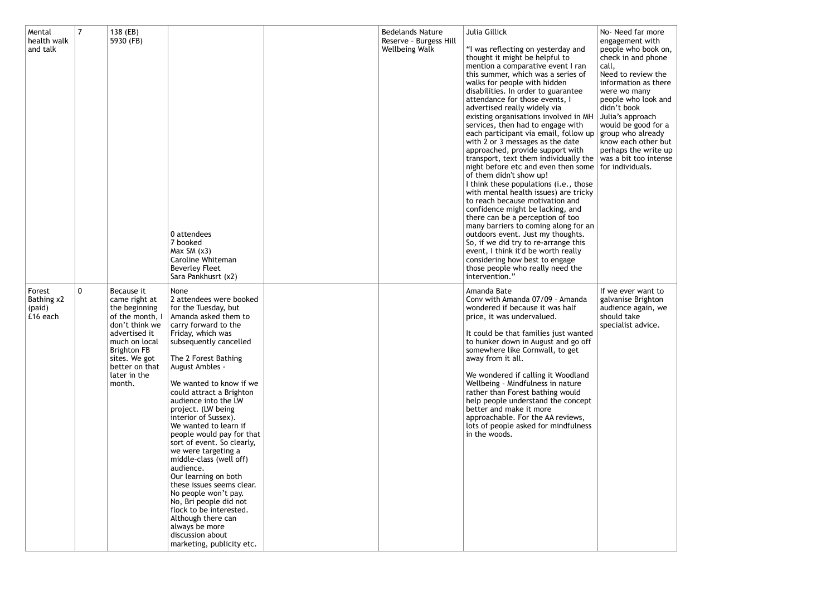| Mental<br>health walk<br>and talk          |             | 138 (EB)<br>5930 (FB)                                                                                                                                                                                  | 0 attendees<br>7 booked<br>Max $SM(x3)$<br>Caroline Whiteman<br><b>Beverley Fleet</b><br>Sara Pankhusrt (x2)                                                                                                                                                                                                                                                                                                                                                                                                                                                                                                                                                                                                        | <b>Bedelands Nature</b><br>Reserve - Burgess Hill<br><b>Wellbeing Walk</b> | <b>Julia Gillick</b><br>"I was reflecting on yesterday and<br>thought it might be helpful to<br>mention a comparative event I ran<br>this summer, which was a series of<br>walks for people with hidden<br>disabilities. In order to guarantee<br>attendance for those events, I<br>advertised really widely via<br>existing organisations involved in MH<br>services, then had to engage with<br>each participant via email, follow up<br>with 2 or 3 messages as the date<br>approached, provide support with<br>transport, text them individually the<br>night before etc and even then some<br>of them didn't show up!<br>I think these populations (i.e., those<br>with mental health issues) are tricky<br>to reach because motivation and<br>confidence might be lacking, and<br>there can be a perception of too<br>many barriers to coming along for an<br>outdoors event. Just my thoughts.<br>So, if we did try to re-arrange this<br>event, I think it'd be worth really<br>considering how best to engage<br>those people who really need the<br>intervention." | No- Need far me<br>engagement wit<br>people who boo<br>check in and ph<br>call,<br>Need to review<br>information as t<br>were wo many<br>people who lool<br>didn't book<br>Julia's approach<br>would be good t<br>group who alrea<br>know each othe<br>perhaps the wri<br>was a bit too in<br>for individuals. |
|--------------------------------------------|-------------|--------------------------------------------------------------------------------------------------------------------------------------------------------------------------------------------------------|---------------------------------------------------------------------------------------------------------------------------------------------------------------------------------------------------------------------------------------------------------------------------------------------------------------------------------------------------------------------------------------------------------------------------------------------------------------------------------------------------------------------------------------------------------------------------------------------------------------------------------------------------------------------------------------------------------------------|----------------------------------------------------------------------------|------------------------------------------------------------------------------------------------------------------------------------------------------------------------------------------------------------------------------------------------------------------------------------------------------------------------------------------------------------------------------------------------------------------------------------------------------------------------------------------------------------------------------------------------------------------------------------------------------------------------------------------------------------------------------------------------------------------------------------------------------------------------------------------------------------------------------------------------------------------------------------------------------------------------------------------------------------------------------------------------------------------------------------------------------------------------------|----------------------------------------------------------------------------------------------------------------------------------------------------------------------------------------------------------------------------------------------------------------------------------------------------------------|
| Forest<br>Bathing x2<br>(paid)<br>£16 each | $\mathbf 0$ | Because it<br>came right at<br>the beginning<br>of the month, I<br>don't think we<br>advertised it<br>much on local<br><b>Brighton FB</b><br>sites. We got<br>better on that<br>later in the<br>month. | <b>None</b><br>2 attendees were booked<br>for the Tuesday, but<br>Amanda asked them to<br>carry forward to the<br>Friday, which was<br>subsequently cancelled<br>The 2 Forest Bathing<br>August Ambles -<br>We wanted to know if we<br>could attract a Brighton<br>audience into the LW<br>project. (LW being<br>interior of Sussex).<br>We wanted to learn if<br>people would pay for that<br>sort of event. So clearly,<br>we were targeting a<br>middle-class (well off)<br>audience.<br>Our learning on both<br>these issues seems clear.<br>No people won't pay.<br>No, Bri people did not<br>flock to be interested.<br>Although there can<br>always be more<br>discussion about<br>marketing, publicity etc. |                                                                            | Amanda Bate<br>Conv with Amanda 07/09 - Amanda<br>wondered if because it was half<br>price, it was undervalued.<br>It could be that families just wanted<br>to hunker down in August and go off<br>somewhere like Cornwall, to get<br>away from it all.<br>We wondered if calling it Woodland<br>Wellbeing - Mindfulness in nature<br>rather than Forest bathing would<br>help people understand the concept<br>better and make it more<br>approachable. For the AA reviews,<br>lots of people asked for mindfulness<br>in the woods.                                                                                                                                                                                                                                                                                                                                                                                                                                                                                                                                        | If we ever want<br>galvanise Bright<br>audience again,<br>should take<br>specialist advice                                                                                                                                                                                                                     |

| No-Need far more<br>engagement with<br>people who book on,<br>check in and phone<br>call,<br>Need to review the<br>information as there<br>were wo many<br>people who look and<br>didn't book<br>Julia's approach<br>would be good for a<br>group who already<br>know each other but<br>perhaps the write up<br>was a bit too intense<br>for individuals. |  |
|-----------------------------------------------------------------------------------------------------------------------------------------------------------------------------------------------------------------------------------------------------------------------------------------------------------------------------------------------------------|--|
| If we ever want to<br>galvanise Brighton<br>audience again, we<br>should take<br>specialist advice.                                                                                                                                                                                                                                                       |  |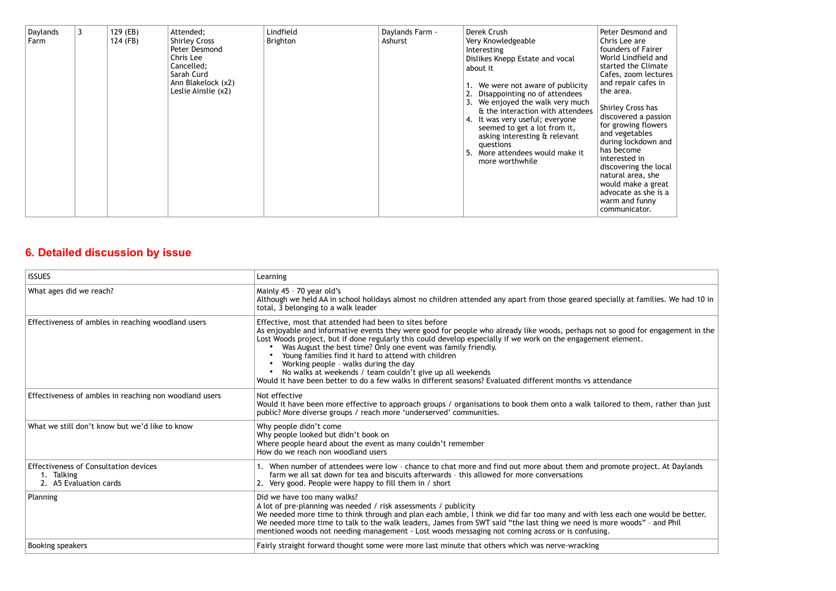# **6. Detailed discussion by issue**

| Daylands<br>Farm | 3 | 129 (EB)<br>124 (FB) | Attended;<br><b>Shirley Cross</b><br>Peter Desmond<br>Chris Lee<br>Cancelled;<br>Sarah Curd<br>Ann Blakelock (x2)<br>Leslie Ainslie (x2) | Lindfield<br>Brighton | Daylands Farm -<br>Ashurst | Derek Crush<br>Very Knowledgeable<br>Interesting<br>Dislikes Knepp Estate and vocal<br>about it<br>We were not aware of publicity<br>Disappointing no of attendees<br>3. We enjoyed the walk very much<br>& the interaction with attendees<br>4. It was very useful; everyone<br>seemed to get a lot from it,<br>asking interesting & relevant<br>questions<br>More attendees would make it<br>5.<br>more worthwhile | Peter Desmond and<br>Chris Lee are<br>founders of Fairer<br>World Lindfield and<br>started the Climate<br>Cafes, zoom lectures<br>and repair cafes in<br>the area.<br>Shirley Cross has<br>discovered a passion<br>for growing flowers<br>and vegetables<br>during lockdown and<br>has become<br>interested in<br>discovering the local<br>natural area, she<br>would make a great<br>advocate as she is a<br>warm and funny<br>communicator. |
|------------------|---|----------------------|------------------------------------------------------------------------------------------------------------------------------------------|-----------------------|----------------------------|----------------------------------------------------------------------------------------------------------------------------------------------------------------------------------------------------------------------------------------------------------------------------------------------------------------------------------------------------------------------------------------------------------------------|-----------------------------------------------------------------------------------------------------------------------------------------------------------------------------------------------------------------------------------------------------------------------------------------------------------------------------------------------------------------------------------------------------------------------------------------------|
|------------------|---|----------------------|------------------------------------------------------------------------------------------------------------------------------------------|-----------------------|----------------------------|----------------------------------------------------------------------------------------------------------------------------------------------------------------------------------------------------------------------------------------------------------------------------------------------------------------------------------------------------------------------------------------------------------------------|-----------------------------------------------------------------------------------------------------------------------------------------------------------------------------------------------------------------------------------------------------------------------------------------------------------------------------------------------------------------------------------------------------------------------------------------------|

| <b>ISSUES</b>                                                                        | Learning                                                                                                                                                                                                                                                                                                                                                                                                                                                                                                                                                                                                                                              |
|--------------------------------------------------------------------------------------|-------------------------------------------------------------------------------------------------------------------------------------------------------------------------------------------------------------------------------------------------------------------------------------------------------------------------------------------------------------------------------------------------------------------------------------------------------------------------------------------------------------------------------------------------------------------------------------------------------------------------------------------------------|
| What ages did we reach?                                                              | Mainly 45 - 70 year old's<br>Although we held AA in school holidays almost no children attended any apart from those geared specially at families. We had 10<br>total, 3 belonging to a walk leader                                                                                                                                                                                                                                                                                                                                                                                                                                                   |
| Effectiveness of ambles in reaching woodland users                                   | Effective, most that attended had been to sites before<br>As enjoyable and informative events they were good for people who already like woods, perhaps not so good for engagement in th<br>Lost Woods project, but if done regularly this could develop especially if we work on the engagement element.<br>Was August the best time? Only one event was family friendly.<br>Young families find it hard to attend with children<br>Working people - walks during the day<br>No walks at weekends / team couldn't give up all weekends<br>Would it have been better to do a few walks in different seasons? Evaluated different months vs attendance |
| Effectiveness of ambles in reaching non woodland users                               | Not effective<br>Would it have been more effective to approach groups / organisations to book them onto a walk tailored to them, rather than just<br>public? More diverse groups / reach more 'underserved' communities.                                                                                                                                                                                                                                                                                                                                                                                                                              |
| What we still don't know but we'd like to know                                       | Why people didn't come<br>Why people looked but didn't book on<br>Where people heard about the event as many couldn't remember<br>How do we reach non woodland users                                                                                                                                                                                                                                                                                                                                                                                                                                                                                  |
| <b>Effectiveness of Consultation devices</b><br>1. Talking<br>2. A5 Evaluation cards | 1. When number of attendees were low - chance to chat more and find out more about them and promote project. At Daylands<br>farm we all sat down for tea and biscuits afterwards - this allowed for more conversations<br>2. Very good. People were happy to fill them in / short                                                                                                                                                                                                                                                                                                                                                                     |
| <b>Planning</b>                                                                      | Did we have too many walks?<br>A lot of pre-planning was needed / risk assessments / publicity<br>We needed more time to think through and plan each amble, I think we did far too many and with less each one would be better.<br>We needed more time to talk to the walk leaders, James from SWT said "the last thing we need is more woods" - and Phil<br>mentioned woods not needing management - Lost woods messaging not coming across or is confusing.                                                                                                                                                                                         |
| Booking speakers                                                                     | Fairly straight forward thought some were more last minute that others which was nerve-wracking                                                                                                                                                                                                                                                                                                                                                                                                                                                                                                                                                       |
|                                                                                      |                                                                                                                                                                                                                                                                                                                                                                                                                                                                                                                                                                                                                                                       |

# at families. We had 10 in As enjoyable and informative events they were good for people who already like woods, perhaps not so good for engagement in the them, rather than just e project. At Daylands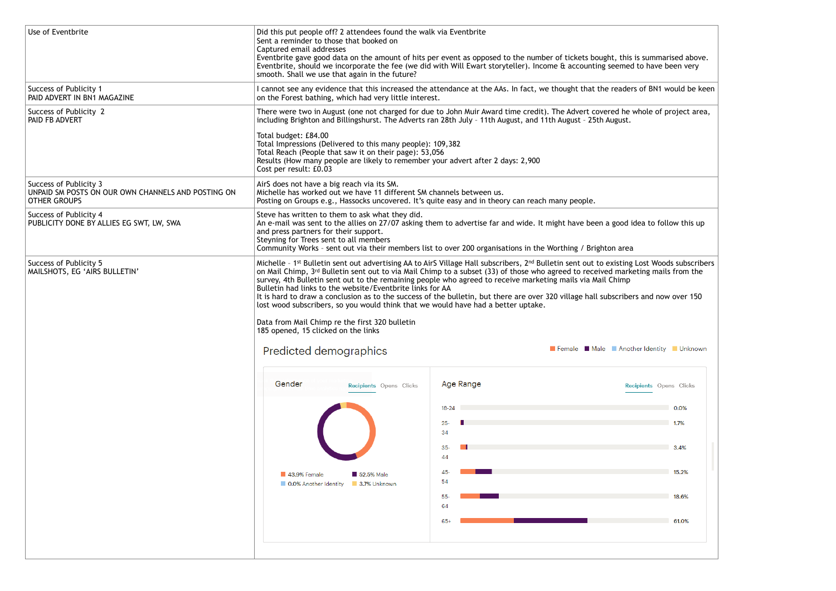| Use of Eventbrite                                                                                   | Did this put people off? 2 attendees found the walk via Eventbrite<br>Sent a reminder to those that booked on<br>Captured email addresses<br>Eventbrite gave good data on the amount of hits per event as opposed to the number of tickets bought, this is summarised above.<br>Eventbrite, should we incorporate the fee (we did with Will Ewart storyteller). Income & accounting seemed to have been very<br>smooth. Shall we use that again in the future?                                                                                                                                                                                             |                                                                                                                                                                                                                                                  |                                                                                                                                                                                    |  |
|-----------------------------------------------------------------------------------------------------|------------------------------------------------------------------------------------------------------------------------------------------------------------------------------------------------------------------------------------------------------------------------------------------------------------------------------------------------------------------------------------------------------------------------------------------------------------------------------------------------------------------------------------------------------------------------------------------------------------------------------------------------------------|--------------------------------------------------------------------------------------------------------------------------------------------------------------------------------------------------------------------------------------------------|------------------------------------------------------------------------------------------------------------------------------------------------------------------------------------|--|
| Success of Publicity 1<br>PAID ADVERT IN BN1 MAGAZINE                                               | I cannot see any evidence that this increased the attendance at the AAs. In fact, we thought that the readers of BN1 would be keen<br>on the Forest bathing, which had very little interest.                                                                                                                                                                                                                                                                                                                                                                                                                                                               |                                                                                                                                                                                                                                                  |                                                                                                                                                                                    |  |
| Success of Publicity 2<br>PAID FB ADVERT                                                            | There were two in August (one not charged for due to John Muir Award time credit). The Advert covered he whole of project area,<br>including Brighton and Billingshurst. The Adverts ran 28th July - 11th August, and 11th August - 25th August.                                                                                                                                                                                                                                                                                                                                                                                                           |                                                                                                                                                                                                                                                  |                                                                                                                                                                                    |  |
|                                                                                                     | Total budget: £84.00<br>Total Impressions (Delivered to this many people): 109,382<br>Total Reach (People that saw it on their page): 53,056<br>Results (How many people are likely to remember your advert after 2 days: 2,900<br>Cost per result: £0.03                                                                                                                                                                                                                                                                                                                                                                                                  |                                                                                                                                                                                                                                                  |                                                                                                                                                                                    |  |
| Success of Publicity 3<br>UNPAID SM POSTS ON OUR OWN CHANNELS AND POSTING ON<br><b>OTHER GROUPS</b> | AirS does not have a big reach via its SM.<br>Michelle has worked out we have 11 different SM channels between us.<br>Posting on Groups e.g., Hassocks uncovered. It's quite easy and in theory can reach many people.                                                                                                                                                                                                                                                                                                                                                                                                                                     |                                                                                                                                                                                                                                                  |                                                                                                                                                                                    |  |
| Success of Publicity 4<br>PUBLICITY DONE BY ALLIES EG SWT, LW, SWA                                  | Steve has written to them to ask what they did.<br>and press partners for their support.<br>Steyning for Trees sent to all members                                                                                                                                                                                                                                                                                                                                                                                                                                                                                                                         | An e-mail was sent to the allies on 27/07 asking them to advertise far and wide. It might have been a good idea to follow this up<br>Community Works - sent out via their members list to over 200 organisations in the Worthing / Brighton area |                                                                                                                                                                                    |  |
| Success of Publicity 5<br>MAILSHOTS, EG 'AIRS BULLETIN'                                             | on Mail Chimp, 3rd Bulletin sent out to via Mail Chimp to a subset (33) of those who agreed to received marketing mails from the<br>survey, 4th Bulletin sent out to the remaining people who agreed to receive marketing mails via Mail Chimp<br>Bulletin had links to the website/Eventbrite links for AA<br>It is hard to draw a conclusion as to the success of the bulletin, but there are over 320 village hall subscribers and now over 150<br>lost wood subscribers, so you would think that we would have had a better uptake.<br>Data from Mail Chimp re the first 320 bulletin<br>185 opened, 15 clicked on the links<br>Predicted demographics |                                                                                                                                                                                                                                                  | Michelle - 1st Bulletin sent out advertising AA to AirS Village Hall subscribers, 2nd Bulletin sent out to existing Lost Woods subscribers<br>Female Male Another Identity Unknown |  |
|                                                                                                     | Gender<br>Recipients Opens Clicks                                                                                                                                                                                                                                                                                                                                                                                                                                                                                                                                                                                                                          | Age Range<br>$18 - 24$<br>$25 -$<br>34<br>$35-$<br>44                                                                                                                                                                                            | Recipients Opens Clicks<br>0.0%<br>1.7%<br>3.4%                                                                                                                                    |  |
|                                                                                                     | 43.9% Female<br>52.5% Male<br><b>O.0%</b> Another Identity<br>3.7% Unknown                                                                                                                                                                                                                                                                                                                                                                                                                                                                                                                                                                                 | 45-<br>54                                                                                                                                                                                                                                        | 15.2%                                                                                                                                                                              |  |
|                                                                                                     |                                                                                                                                                                                                                                                                                                                                                                                                                                                                                                                                                                                                                                                            | 55<br>64                                                                                                                                                                                                                                         | 18.6%                                                                                                                                                                              |  |
|                                                                                                     |                                                                                                                                                                                                                                                                                                                                                                                                                                                                                                                                                                                                                                                            | 65+                                                                                                                                                                                                                                              | 61.0%                                                                                                                                                                              |  |
|                                                                                                     |                                                                                                                                                                                                                                                                                                                                                                                                                                                                                                                                                                                                                                                            |                                                                                                                                                                                                                                                  |                                                                                                                                                                                    |  |

| s is summarised above.<br>d to have been very         |  |  |
|-------------------------------------------------------|--|--|
| rs of BN1 would be keen                               |  |  |
| whole of project area,                                |  |  |
|                                                       |  |  |
|                                                       |  |  |
|                                                       |  |  |
|                                                       |  |  |
| idea to follow this up                                |  |  |
| E                                                     |  |  |
| g Lost Woods subscribers<br>eting mails from the      |  |  |
| ers and now over 150                                  |  |  |
|                                                       |  |  |
|                                                       |  |  |
|                                                       |  |  |
|                                                       |  |  |
| ther Identity <b>Unknown</b><br>cipients Opens Clicks |  |  |
| 0.0%                                                  |  |  |
| 1.7%                                                  |  |  |
| 3.4%                                                  |  |  |
| 15.2%                                                 |  |  |
| 18.6%                                                 |  |  |
| 61.0%                                                 |  |  |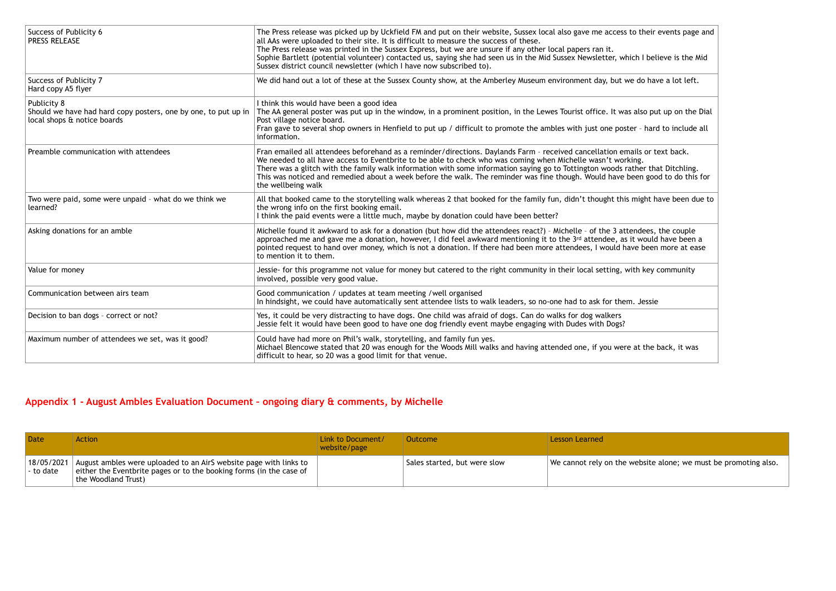# **Appendix 1 - August Ambles Evaluation Document – ongoing diary & comments, by Michelle**

| Success of Publicity 6<br><b>PRESS RELEASE</b>                                                               | The Press release was picked up by Uckfield FM and put on their website, Sussex local also gave me access to their events page and<br>all AAs were uploaded to their site. It is difficult to measure the success of these.<br>The Press release was printed in the Sussex Express, but we are unsure if any other local papers ran it.<br>Sophie Bartlett (potential volunteer) contacted us, saying she had seen us in the Mid Sussex Newsletter, which I believe is the Mid<br>Sussex district council newsletter (which I have now subscribed to). |
|--------------------------------------------------------------------------------------------------------------|--------------------------------------------------------------------------------------------------------------------------------------------------------------------------------------------------------------------------------------------------------------------------------------------------------------------------------------------------------------------------------------------------------------------------------------------------------------------------------------------------------------------------------------------------------|
| Success of Publicity 7<br>Hard copy A5 flyer                                                                 | We did hand out a lot of these at the Sussex County show, at the Amberley Museum environment day, but we do have a lot left.                                                                                                                                                                                                                                                                                                                                                                                                                           |
| Publicity 8<br>Should we have had hard copy posters, one by one, to put up in<br>local shops & notice boards | I think this would have been a good idea<br>The AA general poster was put up in the window, in a prominent position, in the Lewes Tourist office. It was also put up on the Dial<br>Post village notice board.<br>Fran gave to several shop owners in Henfield to put up / difficult to promote the ambles with just one poster - hard to include all<br>information.                                                                                                                                                                                  |
| Preamble communication with attendees                                                                        | Fran emailed all attendees beforehand as a reminder/directions. Daylands Farm - received cancellation emails or text back.<br>We needed to all have access to Eventbrite to be able to check who was coming when Michelle wasn't working.<br>There was a glitch with the family walk information with some information saying go to Tottington woods rather that Ditchling.<br>This was noticed and remedied about a week before the walk. The reminder was fine though. Would have been good to do this for<br>the wellbeing walk                     |
| Two were paid, some were unpaid - what do we think we<br>learned?                                            | All that booked came to the storytelling walk whereas 2 that booked for the family fun, didn't thought this might have been due to<br>the wrong info on the first booking email.<br>I think the paid events were a little much, maybe by donation could have been better?                                                                                                                                                                                                                                                                              |
| Asking donations for an amble                                                                                | Michelle found it awkward to ask for a donation (but how did the attendees react?) - Michelle - of the 3 attendees, the couple<br>approached me and gave me a donation, however, I did feel awkward mentioning it to the 3rd attendee, as it would have been a<br>pointed request to hand over money, which is not a donation. If there had been more attendees, I would have been more at ease<br>to mention it to them.                                                                                                                              |
| Value for money                                                                                              | Jessie- for this programme not value for money but catered to the right community in their local setting, with key community<br>involved, possible very good value.                                                                                                                                                                                                                                                                                                                                                                                    |
| Communication between airs team                                                                              | Good communication / updates at team meeting /well organised<br>In hindsight, we could have automatically sent attendee lists to walk leaders, so no-one had to ask for them. Jessie                                                                                                                                                                                                                                                                                                                                                                   |
| Decision to ban dogs - correct or not?                                                                       | Yes, it could be very distracting to have dogs. One child was afraid of dogs. Can do walks for dog walkers<br>Jessie felt it would have been good to have one dog friendly event maybe engaging with Dudes with Dogs?                                                                                                                                                                                                                                                                                                                                  |
| Maximum number of attendees we set, was it good?                                                             | Could have had more on Phil's walk, storytelling, and family fun yes.<br>Michael Blencowe stated that 20 was enough for the Woods Mill walks and having attended one, if you were at the back, it was<br>difficult to hear, so 20 was a good limit for that venue.                                                                                                                                                                                                                                                                                     |

| <b>Date</b>             | Action                                                                                                                                                          | Link to Document/<br>website/page | Outcome                      | Lesson Learned          |
|-------------------------|-----------------------------------------------------------------------------------------------------------------------------------------------------------------|-----------------------------------|------------------------------|-------------------------|
| 18/05/2021<br>- to date | August ambles were uploaded to an AirS website page with links to<br>either the Eventbrite pages or to the booking forms (in the case of<br>the Woodland Trust) |                                   | Sales started, but were slow | We cannot rely on the w |

| to their events page and |
|--------------------------|
| ich I believe is the Mid |
| e do have a lot left.    |
| also put up on the Dial  |
| er - hard to include all |
| ails or text back.       |
| ing.                     |
| ther that Ditchling.     |
| een good to do this for  |
| might have been due to   |
| endees, the couple       |
| it would have been a     |
| ve been more at ease     |
| ith key community        |
| n. Jessie                |
|                          |
|                          |
|                          |

website alone; we must be promoting also.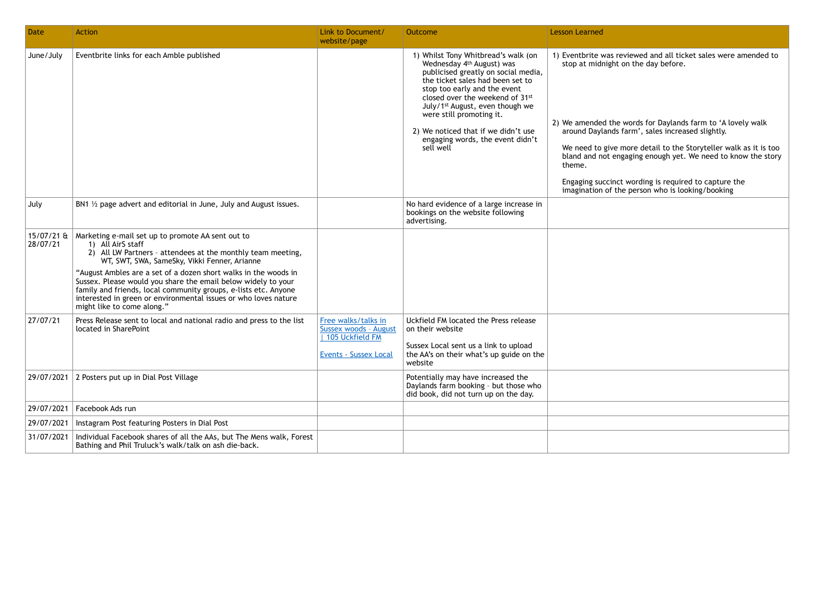2) We amended the words for Daylands farm to 'A lovely walk around Daylands farm', sales increased slightly.

We need to give more detail to the Storyteller walk as it is too bland and not engaging enough yet. We need to know the story

Engaging succinct wording is required to capture the imagination of the person who is looking/booking

| <b>Date</b>              | <b>Action</b>                                                                                                                                                                                                                                                                                                                                                                                                                                                                                 | Link to Document/<br>website/page                                                                 | <b>Outcome</b>                                                                                                                                                                                                                                                                                                                                                                    | <b>Lesson Learned</b>                                                                                                                                                                               |
|--------------------------|-----------------------------------------------------------------------------------------------------------------------------------------------------------------------------------------------------------------------------------------------------------------------------------------------------------------------------------------------------------------------------------------------------------------------------------------------------------------------------------------------|---------------------------------------------------------------------------------------------------|-----------------------------------------------------------------------------------------------------------------------------------------------------------------------------------------------------------------------------------------------------------------------------------------------------------------------------------------------------------------------------------|-----------------------------------------------------------------------------------------------------------------------------------------------------------------------------------------------------|
| June/July                | Eventbrite links for each Amble published                                                                                                                                                                                                                                                                                                                                                                                                                                                     |                                                                                                   | 1) Whilst Tony Whitbread's walk (on<br>Wednesday 4th August) was<br>publicised greatly on social media,<br>the ticket sales had been set to<br>stop too early and the event<br>closed over the weekend of 31st<br>July/1 <sup>st</sup> August, even though we<br>were still promoting it.<br>2) We noticed that if we didn't use<br>engaging words, the event didn't<br>sell well | 1) Eventbrite was revie<br>stop at midnight on<br>2) We amended the wo<br>around Daylands far<br>We need to give mo<br>bland and not engag<br>theme.<br>Engaging succinct w<br>imagination of the p |
| July                     | BN1 $\frac{1}{2}$ page advert and editorial in June, July and August issues.                                                                                                                                                                                                                                                                                                                                                                                                                  |                                                                                                   | No hard evidence of a large increase in<br>bookings on the website following<br>advertising.                                                                                                                                                                                                                                                                                      |                                                                                                                                                                                                     |
| $15/07/21$ &<br>28/07/21 | Marketing e-mail set up to promote AA sent out to<br>1) All AirS staff<br>2) All LW Partners - attendees at the monthly team meeting,<br>WT, SWT, SWA, SameSky, Vikki Fenner, Arianne<br>"August Ambles are a set of a dozen short walks in the woods in<br>Sussex. Please would you share the email below widely to your<br>family and friends, local community groups, e-lists etc. Anyone<br>interested in green or environmental issues or who loves nature<br>might like to come along." |                                                                                                   |                                                                                                                                                                                                                                                                                                                                                                                   |                                                                                                                                                                                                     |
| 27/07/21                 | Press Release sent to local and national radio and press to the list<br>located in SharePoint                                                                                                                                                                                                                                                                                                                                                                                                 | Free walks/talks in<br>Sussex woods - August<br>  105 Uckfield FM<br><b>Events - Sussex Local</b> | Uckfield FM located the Press release<br>on their website<br>Sussex Local sent us a link to upload<br>the AA's on their what's up guide on the<br>website                                                                                                                                                                                                                         |                                                                                                                                                                                                     |
| 29/07/2021               | 2 Posters put up in Dial Post Village                                                                                                                                                                                                                                                                                                                                                                                                                                                         |                                                                                                   | Potentially may have increased the<br>Daylands farm booking - but those who<br>did book, did not turn up on the day.                                                                                                                                                                                                                                                              |                                                                                                                                                                                                     |
| 29/07/2021               | Facebook Ads run                                                                                                                                                                                                                                                                                                                                                                                                                                                                              |                                                                                                   |                                                                                                                                                                                                                                                                                                                                                                                   |                                                                                                                                                                                                     |
| 29/07/2021               | Instagram Post featuring Posters in Dial Post                                                                                                                                                                                                                                                                                                                                                                                                                                                 |                                                                                                   |                                                                                                                                                                                                                                                                                                                                                                                   |                                                                                                                                                                                                     |
| 31/07/2021               | Individual Facebook shares of all the AAs, but The Mens walk, Forest<br>Bathing and Phil Truluck's walk/talk on ash die-back.                                                                                                                                                                                                                                                                                                                                                                 |                                                                                                   |                                                                                                                                                                                                                                                                                                                                                                                   |                                                                                                                                                                                                     |

iewed and all ticket sales were amended to n the day before.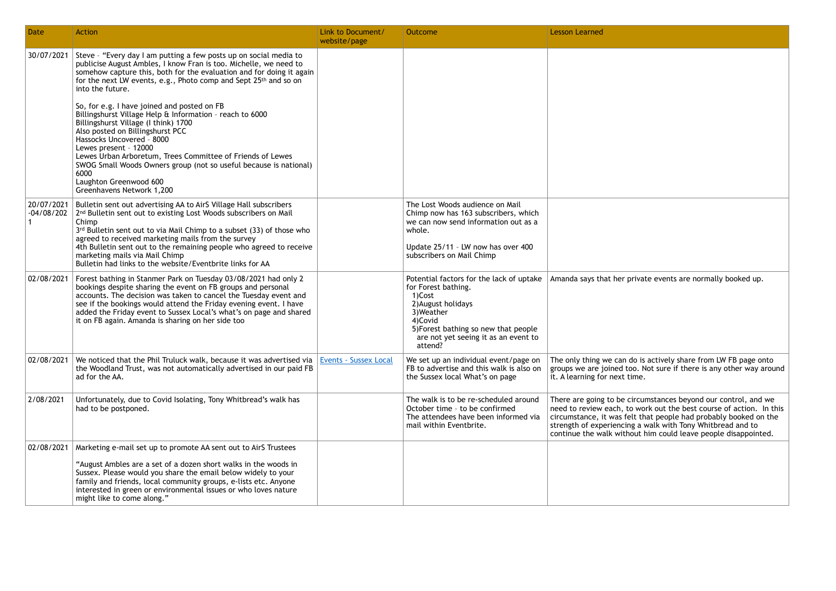The only thing we can do is actively share from LW FB page onto groups we are joined too. Not sure if there is any other way around : time.

| <b>Date</b>                | <b>Action</b>                                                                                                                                                                                                                                                                                                                                                                                                                                                                                                                                                                                                                                                                                                                                                     | Link to Document/<br>website/page | Outcome                                                                                                                                                                                                             | <b>Lesson Learned</b>                                                                                                      |
|----------------------------|-------------------------------------------------------------------------------------------------------------------------------------------------------------------------------------------------------------------------------------------------------------------------------------------------------------------------------------------------------------------------------------------------------------------------------------------------------------------------------------------------------------------------------------------------------------------------------------------------------------------------------------------------------------------------------------------------------------------------------------------------------------------|-----------------------------------|---------------------------------------------------------------------------------------------------------------------------------------------------------------------------------------------------------------------|----------------------------------------------------------------------------------------------------------------------------|
| 30/07/2021                 | Steve - "Every day I am putting a few posts up on social media to<br>publicise August Ambles, I know Fran is too. Michelle, we need to<br>somehow capture this, both for the evaluation and for doing it again<br>for the next LW events, e.g., Photo comp and Sept 25 <sup>th</sup> and so on<br>into the future.<br>So, for e.g. I have joined and posted on FB<br>Billingshurst Village Help & Information - reach to 6000<br>Billingshurst Village (I think) 1700<br>Also posted on Billingshurst PCC<br>Hassocks Uncovered - 8000<br>Lewes present - 12000<br>Lewes Urban Arboretum, Trees Committee of Friends of Lewes<br>SWOG Small Woods Owners group (not so useful because is national)<br>6000<br>Laughton Greenwood 600<br>Greenhavens Network 1,200 |                                   |                                                                                                                                                                                                                     |                                                                                                                            |
| 20/07/2021<br>$-04/08/202$ | Bulletin sent out advertising AA to AirS Village Hall subscribers<br>2 <sup>nd</sup> Bulletin sent out to existing Lost Woods subscribers on Mail<br>Chimp<br>3rd Bulletin sent out to via Mail Chimp to a subset (33) of those who<br>agreed to received marketing mails from the survey<br>4th Bulletin sent out to the remaining people who agreed to receive<br>marketing mails via Mail Chimp<br>Bulletin had links to the website/Eventbrite links for AA                                                                                                                                                                                                                                                                                                   |                                   | The Lost Woods audience on Mail<br>Chimp now has 163 subscribers, which<br>we can now send information out as a<br>whole.<br>Update 25/11 - LW now has over 400<br>subscribers on Mail Chimp                        |                                                                                                                            |
| 02/08/2021                 | Forest bathing in Stanmer Park on Tuesday 03/08/2021 had only 2<br>bookings despite sharing the event on FB groups and personal<br>accounts. The decision was taken to cancel the Tuesday event and<br>see if the bookings would attend the Friday evening event. I have<br>added the Friday event to Sussex Local's what's on page and shared<br>it on FB again. Amanda is sharing on her side too                                                                                                                                                                                                                                                                                                                                                               |                                   | Potential factors for the lack of uptake<br>for Forest bathing.<br>1)Cost<br>2) August holidays<br>3) Weather<br>4)Covid<br>5) Forest bathing so new that people<br>are not yet seeing it as an event to<br>attend? | Amanda says that her                                                                                                       |
| 02/08/2021                 | We noticed that the Phil Truluck walk, because it was advertised via<br>the Woodland Trust, was not automatically advertised in our paid FB<br>ad for the AA.                                                                                                                                                                                                                                                                                                                                                                                                                                                                                                                                                                                                     | <b>Events - Sussex Local</b>      | We set up an individual event/page on<br>FB to advertise and this walk is also on<br>the Sussex local What's on page                                                                                                | The only thing we can<br>groups we are joined<br>it. A learning for next                                                   |
| 2/08/2021                  | Unfortunately, due to Covid Isolating, Tony Whitbread's walk has<br>had to be postponed.                                                                                                                                                                                                                                                                                                                                                                                                                                                                                                                                                                                                                                                                          |                                   | The walk is to be re-scheduled around<br>October time - to be confirmed<br>The attendees have been informed via<br>mail within Eventbrite.                                                                          | There are going to be<br>need to review each,<br>circumstance, it was f<br>strength of experienci<br>continue the walk wit |
| 02/08/2021                 | Marketing e-mail set up to promote AA sent out to AirS Trustees<br>"August Ambles are a set of a dozen short walks in the woods in<br>Sussex. Please would you share the email below widely to your<br>family and friends, local community groups, e-lists etc. Anyone<br>interested in green or environmental issues or who loves nature<br>might like to come along."                                                                                                                                                                                                                                                                                                                                                                                           |                                   |                                                                                                                                                                                                                     |                                                                                                                            |

private events are normally booked up.

There are going to be circumstances beyond our control, and we need to review each, to work out the best course of action. In this circumstance, it was felt that people had probably booked on the strength of experiencing a walk with Tony Whitbread and to continue the walk without him could leave people disappointed.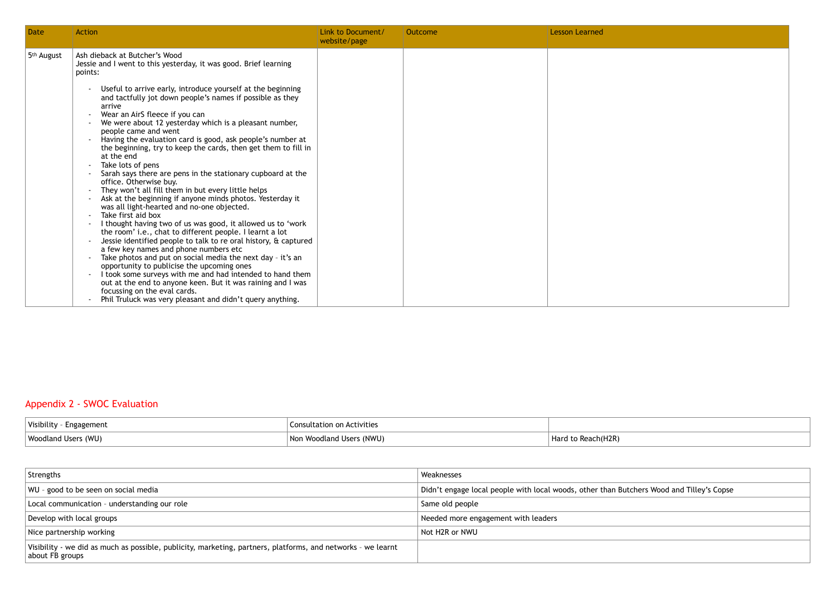## Appendix 2 - SWOC Evaluation

| <b>Date</b>            | <b>Action</b>                                                                                                                                                                                                                                                                                                                                                                                                                                                                                                                                                                                                                                                                                                                                                                                                                                                                                                                                                                                                                                                                                                                                                                                                                                                                                                                                                                                         | Link to Document/<br>website/page | Outcome | <b>Lesson Learned</b> |
|------------------------|-------------------------------------------------------------------------------------------------------------------------------------------------------------------------------------------------------------------------------------------------------------------------------------------------------------------------------------------------------------------------------------------------------------------------------------------------------------------------------------------------------------------------------------------------------------------------------------------------------------------------------------------------------------------------------------------------------------------------------------------------------------------------------------------------------------------------------------------------------------------------------------------------------------------------------------------------------------------------------------------------------------------------------------------------------------------------------------------------------------------------------------------------------------------------------------------------------------------------------------------------------------------------------------------------------------------------------------------------------------------------------------------------------|-----------------------------------|---------|-----------------------|
| 5 <sup>th</sup> August | Ash dieback at Butcher's Wood<br>Jessie and I went to this yesterday, it was good. Brief learning<br>points:<br>Useful to arrive early, introduce yourself at the beginning<br>and tactfully jot down people's names if possible as they<br>arrive<br>Wear an AirS fleece if you can<br>We were about 12 yesterday which is a pleasant number,<br>people came and went<br>Having the evaluation card is good, ask people's number at<br>the beginning, try to keep the cards, then get them to fill in<br>at the end<br>Take lots of pens<br>Sarah says there are pens in the stationary cupboard at the<br>office. Otherwise buy.<br>They won't all fill them in but every little helps<br>Ask at the beginning if anyone minds photos. Yesterday it<br>was all light-hearted and no-one objected.<br>Take first aid box<br>I thought having two of us was good, it allowed us to 'work<br>the room' i.e., chat to different people. I learnt a lot<br>Jessie identified people to talk to re oral history, & captured<br>a few key names and phone numbers etc<br>Take photos and put on social media the next day - it's an<br>opportunity to publicise the upcoming ones<br>I took some surveys with me and had intended to hand them<br>out at the end to anyone keen. But it was raining and I was<br>focussing on the eval cards.<br>Phil Truluck was very pleasant and didn't query anything. |                                   |         |                       |

| Visibility - Engagement    | Consultation on Activities |                    |
|----------------------------|----------------------------|--------------------|
| <b>Woodland Users (WU)</b> | Non Woodland Users (NWU)   | Hard to Reach(H2R) |

| Strengths                                                                                                                       | Weaknesses                                                   |
|---------------------------------------------------------------------------------------------------------------------------------|--------------------------------------------------------------|
| WU - good to be seen on social media                                                                                            | Didn't engage local people with local woods, other than Bute |
| Local communication - understanding our role                                                                                    | Same old people                                              |
| Develop with local groups                                                                                                       | Needed more engagement with leaders                          |
| Nice partnership working                                                                                                        | Not H2R or NWU                                               |
| Visibility - we did as much as possible, publicity, marketing, partners, platforms, and networks - we learnt<br>about FB groups |                                                              |

tchers Wood and Tilley's Copse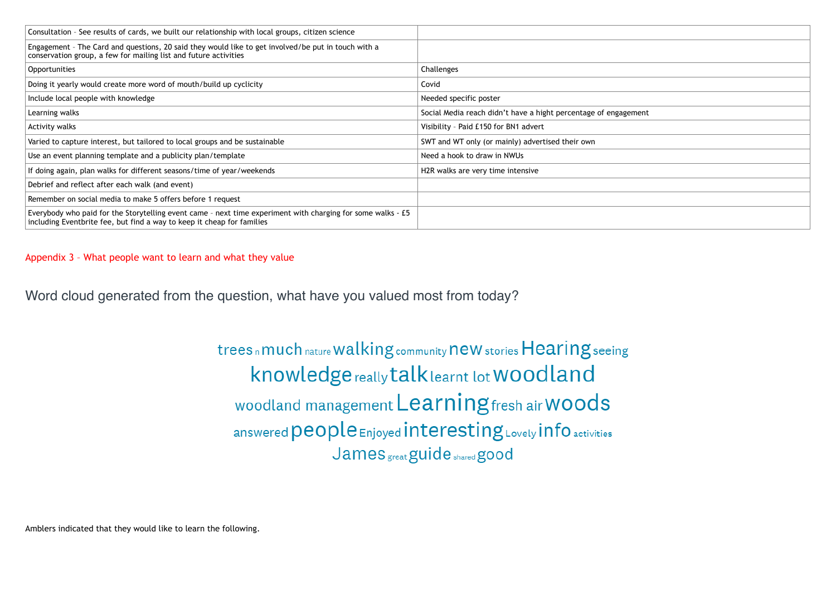Appendix 3 – What people want to learn and what they value

Word cloud generated from the question, what have you valued most from today?

trees n much nature walking community new stories Hearing seeing knowledge really talk learnt lot WOOdland woodland management Learning fresh air Woods answered people Enjoyed interesting Lovely info activities James great guide shared good

Amblers indicated that they would like to learn the following.



| Consultation - See results of cards, we built our relationship with local groups, citizen science                                                                                       |                                                                 |
|-----------------------------------------------------------------------------------------------------------------------------------------------------------------------------------------|-----------------------------------------------------------------|
| Engagement - The Card and questions, 20 said they would like to get involved/be put in touch with a<br>conservation group, a few for mailing list and future activities                 |                                                                 |
| Opportunities                                                                                                                                                                           | Challenges                                                      |
| Doing it yearly would create more word of mouth/build up cyclicity                                                                                                                      | Covid                                                           |
| Include local people with knowledge                                                                                                                                                     | Needed specific poster                                          |
| Learning walks                                                                                                                                                                          | Social Media reach didn't have a hight percentage of engagement |
| Activity walks                                                                                                                                                                          | Visibility - Paid £150 for BN1 advert                           |
| Varied to capture interest, but tailored to local groups and be sustainable                                                                                                             | SWT and WT only (or mainly) advertised their own                |
| Use an event planning template and a publicity plan/template                                                                                                                            | Need a hook to draw in NWUs                                     |
| If doing again, plan walks for different seasons/time of year/weekends                                                                                                                  | H <sub>2R</sub> walks are very time intensive                   |
| Debrief and reflect after each walk (and event)                                                                                                                                         |                                                                 |
| Remember on social media to make 5 offers before 1 request                                                                                                                              |                                                                 |
| Everybody who paid for the Storytelling event came - next time experiment with charging for some walks - $E5$<br>including Eventbrite fee, but find a way to keep it cheap for families |                                                                 |
|                                                                                                                                                                                         |                                                                 |